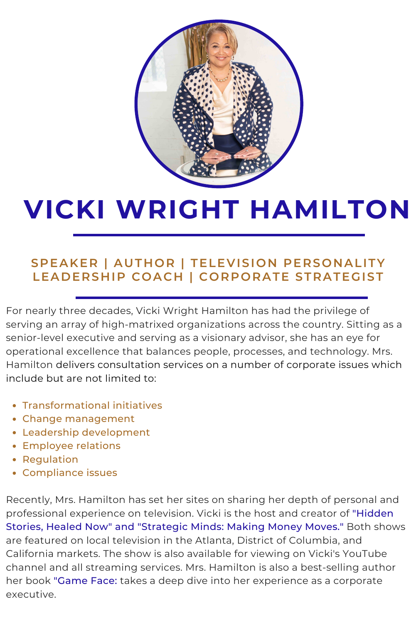

## **VICKI WRIGHT HAMILTON**

## **SPEAKER | AUTHOR | TELEVISION PERSONALITY LEADERSHIP COACH | CORPORATE STRATEGIST**

For nearly three decades, Vicki Wright Hamilton has had the privilege of serving an array of high-matrixed organizations across the country. Sitting as a senior-level executive and serving as a visionary advisor, she has an eye for operational excellence that balances people, processes, and technology. Mrs. Hamilton delivers consultation services on a number of corporate issues which include but are not limited to:

- Transformational initiatives
- Change management
- Leadership development
- Employee relations
- Regulation
- Compliance issues

Recently, Mrs. Hamilton has set her sites on sharing her depth of personal and professional experience on television. Vicki is the host and creator of "Hidden Stories, Healed Now" and "Strategic Minds: Making Money Moves." Both shows are featured on local television in the Atlanta, District of Columbia, and California markets. The show is also available for viewing on Vicki's YouTube channel and all streaming services. Mrs. Hamilton is also a best-selling author her book "Game Face: takes a deep dive into her experience as a corporate executive.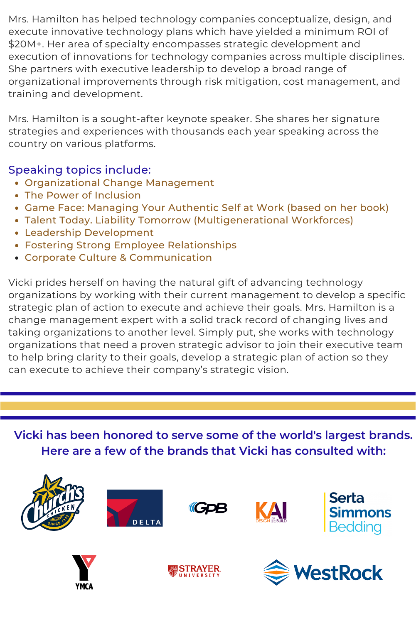Mrs. Hamilton has helped technology companies conceptualize, design, and execute innovative technology plans which have yielded a minimum ROI of \$20M+. Her area of specialty encompasses strategic development and execution of innovations for technology companies across multiple disciplines. She partners with executive leadership to develop a broad range of organizational improvements through risk mitigation, cost management, and training and development.

Mrs. Hamilton is a sought-after keynote speaker. She shares her signature strategies and experiences with thousands each year speaking across the country on various platforms.

## Speaking topics include:

- Organizational Change Management
- The Power of Inclusion
- Game Face: Managing Your Authentic Self at Work (based on her book)
- Talent Today. Liability Tomorrow (Multigenerational Workforces)
- Leadership Development
- Fostering Strong Employee Relationships
- Corporate Culture & Communication

Vicki prides herself on having the natural gift of advancing technology organizations by working with their current management to develop a specific strategic plan of action to execute and achieve their goals. Mrs. Hamilton is a change management expert with a solid track record of changing lives and taking organizations to another level. Simply put, she works with technology organizations that need a proven strategic advisor to join their executive team to help bring clarity to their goals, develop a strategic plan of action so they can execute to achieve their company's strategic vision.

**Vicki has been honored to serve some of the world's largest brands. Here are a few of the brands that Vicki has consulted with:**